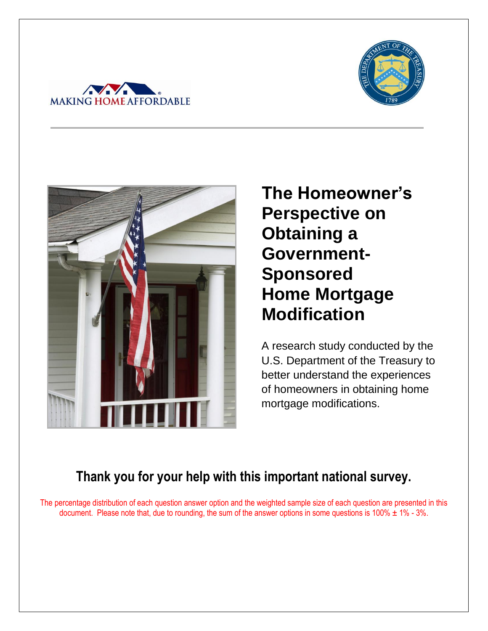





**The Homeowner's Perspective on Obtaining a Government-Sponsored Home Mortgage Modification** 

A research study conducted by the U.S. Department of the Treasury to better understand the experiences of homeowners in obtaining home mortgage modifications.

# **Thank you for your help with this important national survey.**

The percentage distribution of each question answer option and the weighted sample size of each question are presented in this document. Please note that, due to rounding, the sum of the answer options in some questions is 100%  $\pm$  1% - 3%.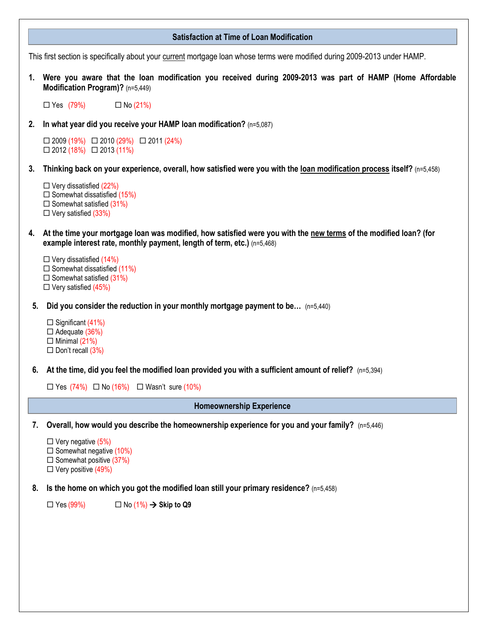|    | <b>Satisfaction at Time of Loan Modification</b>                                                                                                                                                |  |  |  |  |  |
|----|-------------------------------------------------------------------------------------------------------------------------------------------------------------------------------------------------|--|--|--|--|--|
|    | This first section is specifically about your current mortgage loan whose terms were modified during 2009-2013 under HAMP.                                                                      |  |  |  |  |  |
|    | 1. Were you aware that the loan modification you received during 2009-2013 was part of HAMP (Home Affordable<br>Modification Program)? (n=5,449)                                                |  |  |  |  |  |
|    | $\Box$ Yes (79%)<br>$\Box$ No (21%)                                                                                                                                                             |  |  |  |  |  |
| 2. | In what year did you receive your HAMP loan modification? (n=5,087)                                                                                                                             |  |  |  |  |  |
|    | $\Box 2009 (19\%) \quad \Box 2010 (29\%) \quad \Box 2011 (24\%)$<br>$\Box$ 2012 (18%) $\Box$ 2013 (11%)                                                                                         |  |  |  |  |  |
| 3. | Thinking back on your experience, overall, how satisfied were you with the loan modification process itself? (n=5,458)                                                                          |  |  |  |  |  |
|    | $\Box$ Very dissatisfied (22%)<br>$\Box$ Somewhat dissatisfied (15%)<br>$\Box$ Somewhat satisfied (31%)<br>$\Box$ Very satisfied (33%)                                                          |  |  |  |  |  |
|    | 4. At the time your mortgage loan was modified, how satisfied were you with the new terms of the modified loan? (for<br>example interest rate, monthly payment, length of term, etc.) (n=5,468) |  |  |  |  |  |
|    | $\Box$ Very dissatisfied (14%)<br>$\Box$ Somewhat dissatisfied (11%)<br>$\Box$ Somewhat satisfied (31%)<br>$\Box$ Very satisfied (45%)                                                          |  |  |  |  |  |
| 5. | Did you consider the reduction in your monthly mortgage payment to be (n=5,440)                                                                                                                 |  |  |  |  |  |
|    | $\Box$ Significant (41%)<br>$\Box$ Adequate (36%)<br>$\Box$ Minimal (21%)<br>$\Box$ Don't recall (3%)                                                                                           |  |  |  |  |  |
|    | 6. At the time, did you feel the modified loan provided you with a sufficient amount of relief? (n=5,394)                                                                                       |  |  |  |  |  |
|    | $\Box$ Yes (74%) $\Box$ No (16%) $\Box$ Wasn't sure (10%)                                                                                                                                       |  |  |  |  |  |
|    | <b>Homeownership Experience</b>                                                                                                                                                                 |  |  |  |  |  |
| 7. | Overall, how would you describe the homeownership experience for you and your family? (n=5,446)                                                                                                 |  |  |  |  |  |
|    | $\Box$ Very negative (5%)<br>$\Box$ Somewhat negative (10%)<br>$\Box$ Somewhat positive (37%)<br>$\Box$ Very positive (49%)                                                                     |  |  |  |  |  |
| 8. | Is the home on which you got the modified loan still your primary residence? (n=5,458)                                                                                                          |  |  |  |  |  |
|    | $\Box$ No (1%) $\rightarrow$ Skip to Q9<br>$\Box$ Yes (99%)                                                                                                                                     |  |  |  |  |  |
|    |                                                                                                                                                                                                 |  |  |  |  |  |
|    |                                                                                                                                                                                                 |  |  |  |  |  |
|    |                                                                                                                                                                                                 |  |  |  |  |  |
|    |                                                                                                                                                                                                 |  |  |  |  |  |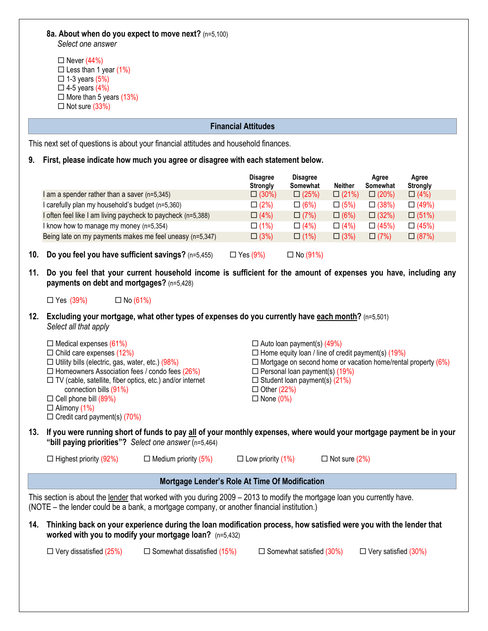|  |  | 8a. About when do you expect to move next? (n=5,100) |  |  |
|--|--|------------------------------------------------------|--|--|
|  |  |                                                      |  |  |

*Select one answer*

| $\Box$ Never (44%)             |
|--------------------------------|
| $\Box$ Less than 1 year (1%)   |
| $\Box$ 1-3 years (5%)          |
| $\Box$ 4-5 years (4%)          |
| $\Box$ More than 5 years (13%) |
| $\Box$ Not sure (33%)          |
|                                |

## **Financial Attitudes**

This next set of questions is about your financial attitudes and household finances.

**9. First, please indicate how much you agree or disagree with each statement below.** 

|                                                              | <b>Disagree</b><br><b>Strongly</b> | <b>Disagree</b><br>Somewhat | <b>Neither</b> | Agree<br>Somewhat | Agree<br><b>Strongly</b> |
|--------------------------------------------------------------|------------------------------------|-----------------------------|----------------|-------------------|--------------------------|
| am a spender rather than a saver (n=5,345)                   | $\Box$ (30%)                       | $\Box$ (25%)                | $\Box$ (21%)   | $\Box$ (20%)      | $\Box$ (4%)              |
| carefully plan my household's budget (n=5,360)               | $\Box$ (2%)                        | $\Box$ (6%)                 | $\Box$ (5%)    | $\Box$ (38%)      | $\Box$ (49%)             |
| I often feel like I am living paycheck to paycheck (n=5,388) | $\Box$ (4%)                        | $\Box$ (7%)                 | $\Box$ (6%)    | $\Box$ (32%)      | $\Box (51\%)$            |
| I know how to manage my money (n=5,354)                      | $\Box$ (1%)                        | $\Box$ (4%)                 | $\Box$ (4%)    | $\Box$ (45%)      | $\Box$ (45%)             |
| Being late on my payments makes me feel uneasy (n=5,347)     | $\Box$ (3%)                        | $\Box$ (1%)                 | $\Box$ (3%)    | $\Box$ (7%)       | $\Box$ (87%)             |
|                                                              |                                    |                             |                |                   |                          |

**10. Do you feel you have sufficient savings?**  $(n=5,455)$   $\Box$  Yes  $(9\%)$   $\Box$  No  $(91\%)$ 

**11. Do you feel that your current household income is sufficient for the amount of expenses you have, including any payments on debt and mortgages?** (n=5,428)

 $\Box$  Yes (39%)  $\Box$  No (61%)

**12. Excluding your mortgage, what other types of expenses do you currently have each month?** (n=5,501) *Select all that apply*

|     | $\Box$ Medical expenses (61%)                                    |                                                       | $\Box$ Auto loan payment(s) (49%)     |                                                                                                                      |
|-----|------------------------------------------------------------------|-------------------------------------------------------|---------------------------------------|----------------------------------------------------------------------------------------------------------------------|
|     | $\Box$ Child care expenses (12%)                                 |                                                       |                                       | $\Box$ Home equity loan / line of credit payment(s) (19%)                                                            |
|     | $\Box$ Utility bills (electric, gas, water, etc.) (98%)          |                                                       |                                       | $\Box$ Mortgage on second home or vacation home/rental property (6%)                                                 |
|     | $\Box$ Homeowners Association fees / condo fees (26%)            |                                                       | $\Box$ Personal loan payment(s) (19%) |                                                                                                                      |
|     | $\Box$ TV (cable, satellite, fiber optics, etc.) and/or internet |                                                       | $\Box$ Student loan payment(s) (21%)  |                                                                                                                      |
|     | connection bills (91%)                                           |                                                       | $\Box$ Other (22%)                    |                                                                                                                      |
|     | $\Box$ Cell phone bill (89%)                                     |                                                       | $\Box$ None (0%)                      |                                                                                                                      |
|     | $\Box$ Alimony (1%)                                              |                                                       |                                       |                                                                                                                      |
|     | $\Box$ Credit card payment(s) (70%)                              |                                                       |                                       |                                                                                                                      |
| 13. |                                                                  | "bill paying priorities"? Select one answer (n=5,464) |                                       | If you were running short of funds to pay all of your monthly expenses, where would your mortgage payment be in your |
|     | $\Box$ Highest priority (92%)                                    | $\Box$ Medium priority (5%)                           | $\Box$ Low priority (1%)              | $\Box$ Not sure (2%)                                                                                                 |

## **Mortgage Lender's Role At Time Of Modification**

This section is about the lender that worked with you during 2009 – 2013 to modify the mortgage loan you currently have. (NOTE – the lender could be a bank, a mortgage company, or another financial institution.)

**14. Thinking back on your experience during the loan modification process, how satisfied were you with the lender that worked with you to modify your mortgage loan?** (n=5,432)

 $\Box$  Very dissatisfied (25%)  $\Box$  Somewhat dissatisfied (15%)  $\Box$  Somewhat satisfied (30%)  $\Box$  Very satisfied (30%)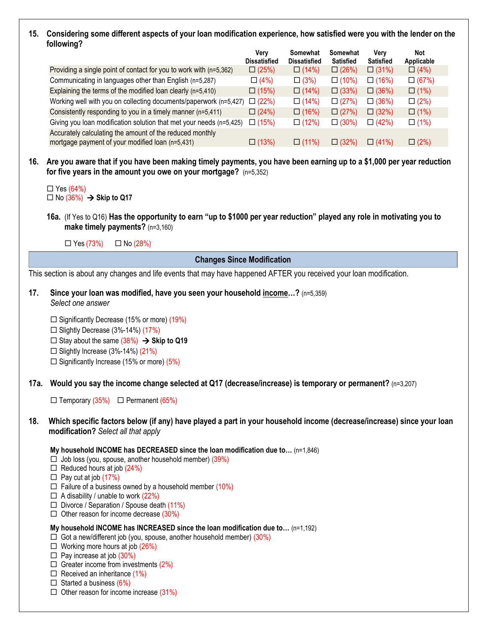## **15. Considering some different aspects of your loan modification experience, how satisfied were you with the lender on the following?**

|                                                                                                              | Very<br><b>Dissatisfied</b> | Somewhat<br><b>Dissatisfied</b> | Somewhat<br><b>Satisfied</b> | Very<br><b>Satisfied</b> | <b>Not</b><br>Applicable |
|--------------------------------------------------------------------------------------------------------------|-----------------------------|---------------------------------|------------------------------|--------------------------|--------------------------|
| Providing a single point of contact for you to work with (n=5,362)                                           | $\Box$ (25%)                | $\Box$ (14%)                    | $\Box$ (26%)                 | $\Box$ (31%)             | $\Box$ (4%)              |
| Communicating in languages other than English (n=5,287)                                                      | $\Box$ (4%)                 | $\Box$ (3%)                     | $\Box$ (10%)                 | $\Box$ (16%)             | $\Box$ (67%)             |
| Explaining the terms of the modified loan clearly (n=5,410)                                                  | $\Box$ (15%)                | $\Box$ (14%)                    | $\Box$ (33%)                 | $\Box$ (36%)             | $\Box$ (1%)              |
| Working well with you on collecting documents/paperwork (n=5,427)                                            | $\Box$ (22%)                | $\Box$ (14%)                    | $\Box$ (27%)                 | $\Box$ (36%)             | $\Box$ (2%)              |
| Consistently responding to you in a timely manner (n=5,411)                                                  | $\Box$ (24%)                | $\Box$ (16%)                    | $\Box$ (27%)                 | $\Box$ (32%)             | $\Box$ (1%)              |
| Giving you loan modification solution that met your needs (n=5,425)                                          | $\Box$ (15%)                | $\Box$ (12%)                    | $\Box$ (30%)                 | $\Box$ (42%)             | $\Box$ (1%)              |
| Accurately calculating the amount of the reduced monthly<br>mortgage payment of your modified loan (n=5,431) | $\Box$ (13%)                | $\Box$ (11%)                    | $\Box$ (32%)                 | $\Box$ (41%)             | $\Box$ (2%)              |

**16. Are you aware that if you have been making timely payments, you have been earning up to a \$1,000 per year reduction for five years in the amount you owe on your mortgage?** (n=5,352)

**16a.** (If Yes to Q16) **Has the opportunity to earn "up to \$1000 per year reduction" played any role in motivating you to make timely payments?** (n=3,160)

 $\Box$  Yes (73%)  $\Box$  No (28%)

## **Changes Since Modification**

This section is about any changes and life events that may have happened AFTER you received your loan modification.

- **17. Since your loan was modified, have you seen your household income…?** (n=5,359) *Select one answer*
	- $\square$  Significantly Decrease (15% or more) (19%)
	- $\square$  Slightly Decrease (3%-14%) (17%)
	- $\Box$  Stay about the same (38%)  $\rightarrow$  Skip to Q19
	- $\Box$  Slightly Increase (3%-14%) (21%)
	- $\Box$  Significantly Increase (15% or more) (5%)
- **17a. Would you say the income change selected at Q17 (decrease/increase) is temporary or permanent?** (n=3,207)
	- $\Box$  Temporary (35%)  $\Box$  Permanent (65%)
- **18. Which specific factors below (if any) have played a part in your household income (decrease/increase) since your loan modification?** *Select all that apply*

#### **My household INCOME has DECREASED since the loan modification due to…** (n=1,846)

- $\Box$  Job loss (you, spouse, another household member) (39%)
- $\Box$  Reduced hours at job (24%)
- $\Box$  Pay cut at job (17%)
- $\Box$  Failure of a business owned by a household member (10%)
- $\Box$  A disability / unable to work (22%)
- $\Box$  Divorce / Separation / Spouse death (11%)
- $\Box$  Other reason for income decrease (30%)

#### **My household INCOME has INCREASED since the loan modification due to…** (n=1,192)

- $\Box$  Got a new/different job (you, spouse, another household member) (30%)
- $\Box$  Working more hours at job (26%)
- $\Box$  Pay increase at job (30%)
- $\Box$  Greater income from investments (2%)
- $\Box$  Received an inheritance (1%)
- $\Box$  Started a business (6%)
- $\Box$  Other reason for income increase (31%)

 $\Box$  Yes (64%)  $\Box$  No (36%)  $\rightarrow$  Skip to Q17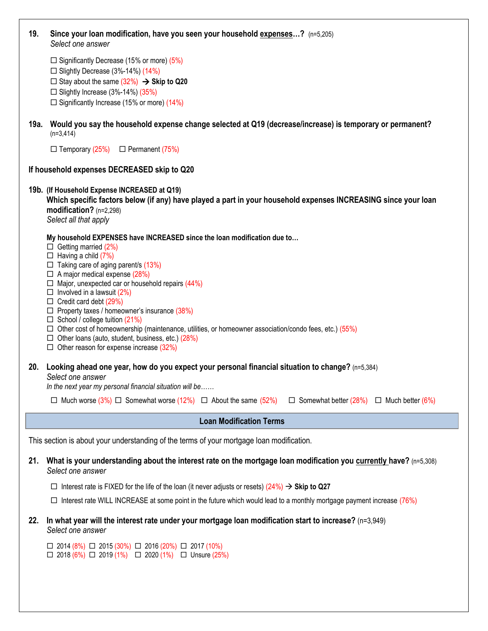| 19.  | Since your loan modification, have you seen your household expenses? (n=5,205)<br>Select one answer                                                                                                                                                                                                                                                                                                                                                                                                                                                                                                                                     |
|------|-----------------------------------------------------------------------------------------------------------------------------------------------------------------------------------------------------------------------------------------------------------------------------------------------------------------------------------------------------------------------------------------------------------------------------------------------------------------------------------------------------------------------------------------------------------------------------------------------------------------------------------------|
|      | $\Box$ Significantly Decrease (15% or more) (5%)<br>$\Box$ Slightly Decrease (3%-14%) (14%)<br>$\Box$ Stay about the same (32%) $\rightarrow$ Skip to Q20<br>$\Box$ Slightly Increase (3%-14%) (35%)                                                                                                                                                                                                                                                                                                                                                                                                                                    |
|      | $\Box$ Significantly Increase (15% or more) (14%)                                                                                                                                                                                                                                                                                                                                                                                                                                                                                                                                                                                       |
| 19a. | Would you say the household expense change selected at Q19 (decrease/increase) is temporary or permanent?<br>$(n=3,414)$                                                                                                                                                                                                                                                                                                                                                                                                                                                                                                                |
|      | $\Box$ Temporary (25%) $\Box$ Permanent (75%)                                                                                                                                                                                                                                                                                                                                                                                                                                                                                                                                                                                           |
|      | If household expenses DECREASED skip to Q20                                                                                                                                                                                                                                                                                                                                                                                                                                                                                                                                                                                             |
|      | 19b. (If Household Expense INCREASED at Q19)<br>Which specific factors below (if any) have played a part in your household expenses INCREASING since your loan<br>$modification?$ (n=2,298)<br>Select all that apply                                                                                                                                                                                                                                                                                                                                                                                                                    |
|      | My household EXPENSES have INCREASED since the loan modification due to<br>$\Box$ Getting married (2%)<br>$\Box$ Having a child (7%)<br>$\Box$ Taking care of aging parent/s (13%)<br>$\Box$ A major medical expense (28%)<br>$\Box$ Major, unexpected car or household repairs (44%)<br>$\Box$ Involved in a lawsuit (2%)<br>$\Box$ Credit card debt (29%)<br>$\Box$ Property taxes / homeowner's insurance (38%)<br>$\Box$ School / college tuition (21%)<br>$\Box$ Other cost of homeownership (maintenance, utilities, or homeowner association/condo fees, etc.) (55%)<br>$\Box$ Other loans (auto, student, business, etc.) (28%) |
|      | $\Box$ Other reason for expense increase (32%)                                                                                                                                                                                                                                                                                                                                                                                                                                                                                                                                                                                          |
|      | 20. Looking ahead one year, how do you expect your personal financial situation to change? (n=5,384)<br>Select one answer<br>In the next year my personal financial situation will be                                                                                                                                                                                                                                                                                                                                                                                                                                                   |
|      | □ Much worse $(3\%)$ □ Somewhat worse $(12\%)$ □ About the same $(52\%)$<br>$\Box$ Somewhat better (28%) $\Box$ Much better (6%)                                                                                                                                                                                                                                                                                                                                                                                                                                                                                                        |
|      | <b>Loan Modification Terms</b>                                                                                                                                                                                                                                                                                                                                                                                                                                                                                                                                                                                                          |
|      | This section is about your understanding of the terms of your mortgage loan modification.                                                                                                                                                                                                                                                                                                                                                                                                                                                                                                                                               |
| 21.  | What is your understanding about the interest rate on the mortgage loan modification you currently have? (n=5,308)<br>Select one answer                                                                                                                                                                                                                                                                                                                                                                                                                                                                                                 |
|      | $\Box$ Interest rate is FIXED for the life of the loan (it never adjusts or resets) (24%) $\rightarrow$ Skip to Q27<br>$\Box$ Interest rate WILL INCREASE at some point in the future which would lead to a monthly mortgage payment increase (76%)                                                                                                                                                                                                                                                                                                                                                                                     |
| 22.  | In what year will the interest rate under your mortgage loan modification start to increase? (n=3,949)<br>Select one answer                                                                                                                                                                                                                                                                                                                                                                                                                                                                                                             |
|      | $\Box$ 2014 (8%) $\Box$ 2015 (30%) $\Box$ 2016 (20%) $\Box$ 2017 (10%)<br>$\Box$ 2018 (6%) $\Box$ 2019 (1%) $\Box$ 2020 (1%) $\Box$ Unsure (25%)                                                                                                                                                                                                                                                                                                                                                                                                                                                                                        |
|      |                                                                                                                                                                                                                                                                                                                                                                                                                                                                                                                                                                                                                                         |

 $\overline{\phantom{a}}$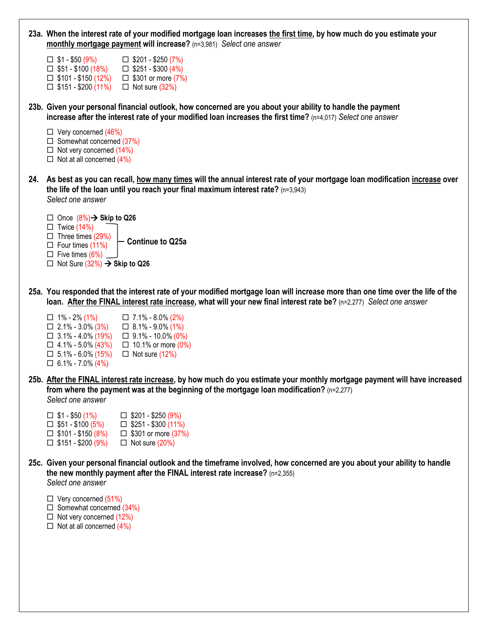| 23a. When the interest rate of your modified mortgage loan increases the first time, by how much do you estimate your<br>monthly mortgage payment will increase? (n=3,981) Select one answer                                                                                                          |
|-------------------------------------------------------------------------------------------------------------------------------------------------------------------------------------------------------------------------------------------------------------------------------------------------------|
| $\Box$ \$1 - \$50 (9%)<br>$\Box$ \$201 - \$250 (7%)<br>$\Box$ \$51 - \$100 (18%)<br>$\Box$ \$251 - \$300 (4%)<br>$\Box$ \$101 - \$150 (12%)<br>$\Box$ \$301 or more (7%)<br>$\Box$ \$151 - \$200 (11%)<br>$\Box$ Not sure (32%)                                                                       |
| 23b. Given your personal financial outlook, how concerned are you about your ability to handle the payment<br>increase after the interest rate of your modified loan increases the first time? $(n=4,017)$ Select one answer                                                                          |
| $\Box$ Very concerned (46%)<br>$\Box$ Somewhat concerned (37%)<br>$\Box$ Not very concerned (14%)<br>$\Box$ Not at all concerned (4%)                                                                                                                                                                 |
| 24. As best as you can recall, how many times will the annual interest rate of your mortgage loan modification increase over<br>the life of the loan until you reach your final maximum interest rate? $(n=3,943)$<br>Select one answer                                                               |
| □ Once $(8\%)$ → Skip to Q26<br>$\Box$ Twice (14%)<br>$\Box$ Three times (29%)<br><b>Continue to Q25a</b><br>$\Box$ Four times (11%)<br>$\Box$ Five times (6%)<br>$\Box$ Not Sure (32%) $\rightarrow$ Skip to Q26                                                                                     |
| 25a. You responded that the interest rate of your modified mortgage loan will increase more than one time over the life of the<br>loan. After the FINAL interest rate increase, what will your new final interest rate be? (n=2,277) Select one answer                                                |
| $\Box$ 1% - 2% (1%)<br>$\Box$ 7.1% - 8.0% (2%)<br>$\Box$ 2.1% - 3.0% (3%)<br>$\Box$ 8.1% - 9.0% (1%)<br>$\Box$ 3.1% - 4.0% (19%)<br>$\Box$ 9.1% - 10.0% (0%)<br>$\Box$ 4.1% - 5.0% (43%)<br>$\Box$ 10.1% or more (0%)<br>$\Box$ Not sure (12%)<br>$\Box$ 5.1% - 6.0% (15%)<br>$\Box$ 6.1% - 7.0% (4%) |
| 25b. After the FINAL interest rate increase, by how much do you estimate your monthly mortgage payment will have increased<br>from where the payment was at the beginning of the mortgage loan modification? $(n=2,277)$<br>Select one answer                                                         |
| $\Box$ \$1 - \$50 (1%)<br>$\Box$ \$201 - \$250 (9%)<br>$\Box$ \$251 - \$300 (11%)<br>$\Box$ \$51 - \$100 (5%)<br>$\Box$ \$101 - \$150 (8%)<br>$\Box$ \$301 or more (37%)<br>$\Box$ \$151 - \$200 (9%)<br>$\Box$ Not sure (20%)                                                                        |
| 25c. Given your personal financial outlook and the timeframe involved, how concerned are you about your ability to handle<br>the new monthly payment after the FINAL interest rate increase? (n=2,355)<br>Select one answer                                                                           |
| $\Box$ Very concerned (51%)<br>$\Box$ Somewhat concerned (34%)<br>$\Box$ Not very concerned (12%)                                                                                                                                                                                                     |

 $\Box$  Not at all concerned (4%)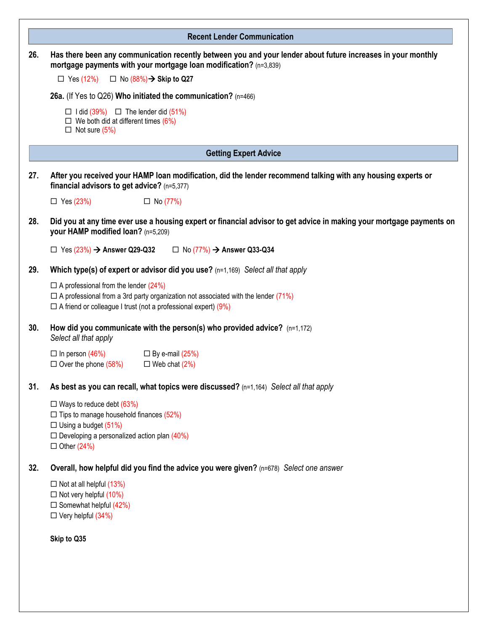|     | <b>Recent Lender Communication</b>                                                                                                                                                                                                                 |
|-----|----------------------------------------------------------------------------------------------------------------------------------------------------------------------------------------------------------------------------------------------------|
| 26. | Has there been any communication recently between you and your lender about future increases in your monthly<br>mortgage payments with your mortgage loan modification? (n=3,839)<br>$\Box$ No $(88\%)\rightarrow$ Skip to Q27<br>$\Box$ Yes (12%) |
|     | 26a. (If Yes to Q26) Who initiated the communication? (n=466)                                                                                                                                                                                      |
|     | $\Box$ I did (39%) $\Box$ The lender did (51%)<br>$\Box$ We both did at different times (6%)<br>$\Box$ Not sure (5%)                                                                                                                               |
|     | <b>Getting Expert Advice</b>                                                                                                                                                                                                                       |
| 27. | After you received your HAMP loan modification, did the lender recommend talking with any housing experts or<br>financial advisors to get advice? (n=5,377)                                                                                        |
|     | $\Box$ Yes (23%)<br>$\Box$ No (77%)                                                                                                                                                                                                                |
| 28. | Did you at any time ever use a housing expert or financial advisor to get advice in making your mortgage payments on<br>your HAMP modified loan? (n=5,209)                                                                                         |
|     | $\Box$ Yes (23%) $\rightarrow$ Answer Q29-Q32<br>$\Box$ No (77%) $\rightarrow$ Answer Q33-Q34                                                                                                                                                      |
| 29. | Which type(s) of expert or advisor did you use? (n=1,169) Select all that apply                                                                                                                                                                    |
|     | $\Box$ A professional from the lender (24%)<br>$\Box$ A professional from a 3rd party organization not associated with the lender (71%)<br>$\Box$ A friend or colleague I trust (not a professional expert) (9%)                                   |
| 30. | How did you communicate with the person(s) who provided advice? $(n=1,172)$<br>Select all that apply                                                                                                                                               |
|     | $\Box$ In person (46%)<br>$\Box$ By e-mail (25%)<br>$\Box$ Over the phone (58%)<br>$\Box$ Web chat (2%)                                                                                                                                            |
| 31. | As best as you can recall, what topics were discussed? (n=1,164) Select all that apply                                                                                                                                                             |
|     | $\Box$ Ways to reduce debt (63%)<br>$\Box$ Tips to manage household finances (52%)<br>$\Box$ Using a budget (51%)<br>$\Box$ Developing a personalized action plan (40%)<br>$\Box$ Other (24%)                                                      |
| 32. | Overall, how helpful did you find the advice you were given? (n=678) Select one answer                                                                                                                                                             |
|     | $\Box$ Not at all helpful (13%)<br>$\Box$ Not very helpful (10%)<br>$\Box$ Somewhat helpful (42%)<br>$\Box$ Very helpful (34%)                                                                                                                     |
|     | Skip to Q35                                                                                                                                                                                                                                        |
|     |                                                                                                                                                                                                                                                    |
|     |                                                                                                                                                                                                                                                    |
|     |                                                                                                                                                                                                                                                    |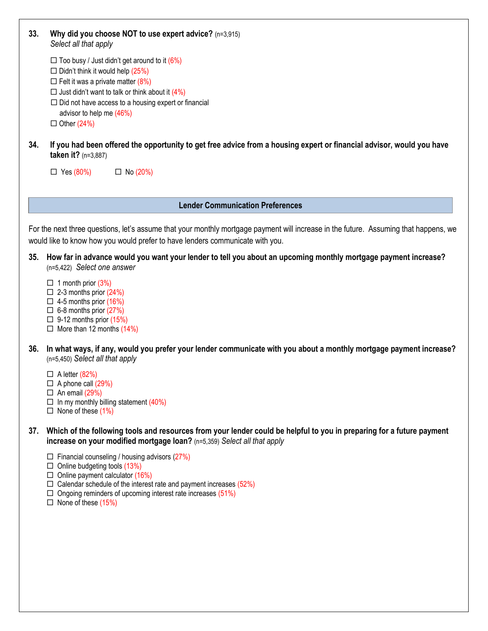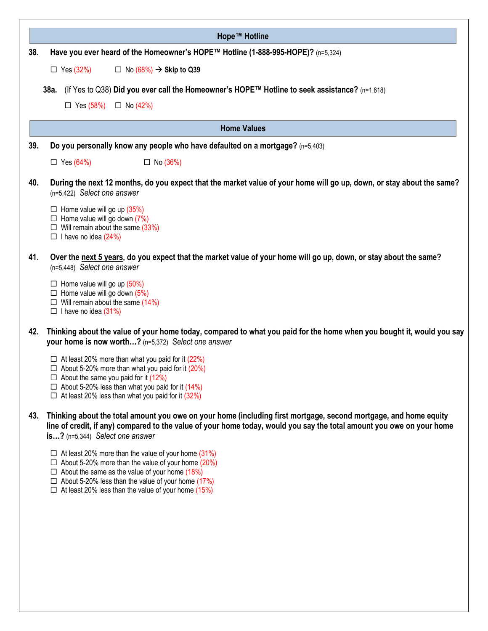|     | Hope™ Hotline                                                                                                                                                                                                                                                                             |
|-----|-------------------------------------------------------------------------------------------------------------------------------------------------------------------------------------------------------------------------------------------------------------------------------------------|
| 38. | Have you ever heard of the Homeowner's HOPE™ Hotline (1-888-995-HOPE)? (n=5,324)                                                                                                                                                                                                          |
|     | $\Box$ Yes (32%)<br>$\Box$ No (68%) $\rightarrow$ Skip to Q39                                                                                                                                                                                                                             |
|     | (If Yes to Q38) Did you ever call the Homeowner's HOPE™ Hotline to seek assistance? (n=1,618)<br>38a. l                                                                                                                                                                                   |
|     | $\Box$ Yes (58%)<br>$\Box$ No (42%)                                                                                                                                                                                                                                                       |
|     | <b>Home Values</b>                                                                                                                                                                                                                                                                        |
| 39. | Do you personally know any people who have defaulted on a mortgage? (n=5,403)                                                                                                                                                                                                             |
|     |                                                                                                                                                                                                                                                                                           |
|     | $\Box$ Yes (64%)<br>$\Box$ No (36%)                                                                                                                                                                                                                                                       |
| 40. | During the next 12 months, do you expect that the market value of your home will go up, down, or stay about the same?<br>$(n=5,422)$ Select one answer                                                                                                                                    |
|     | $\Box$ Home value will go up (35%)<br>$\Box$ Home value will go down (7%)<br>$\Box$ Will remain about the same (33%)<br>$\Box$ I have no idea (24%)                                                                                                                                       |
| 41. | Over the next 5 years, do you expect that the market value of your home will go up, down, or stay about the same?<br>(n=5,448) Select one answer                                                                                                                                          |
|     | $\Box$ Home value will go up (50%)<br>$\Box$ Home value will go down (5%)<br>$\Box$ Will remain about the same (14%)<br>$\Box$ I have no idea (31%)                                                                                                                                       |
| 42. | Thinking about the value of your home today, compared to what you paid for the home when you bought it, would you say<br>your home is now worth? (n=5,372) Select one answer                                                                                                              |
|     | $\Box$ At least 20% more than what you paid for it (22%)<br>$\Box$ About 5-20% more than what you paid for it (20%)<br>$\Box$ About the same you paid for it (12%)<br>$\Box$ About 5-20% less than what you paid for it (14%)<br>$\Box$ At least 20% less than what you paid for it (32%) |
| 43. | Thinking about the total amount you owe on your home (including first mortgage, second mortgage, and home equity<br>line of credit, if any) compared to the value of your home today, would you say the total amount you owe on your home<br>is? (n=5,344) Select one answer              |

- $\Box$  At least 20% more than the value of your home (31%)
- $\Box$  About 5-20% more than the value of your home (20%)
- $\Box$  About the same as the value of your home (18%)
- $\Box$  About 5-20% less than the value of your home (17%)
- $\Box$  At least 20% less than the value of your home (15%)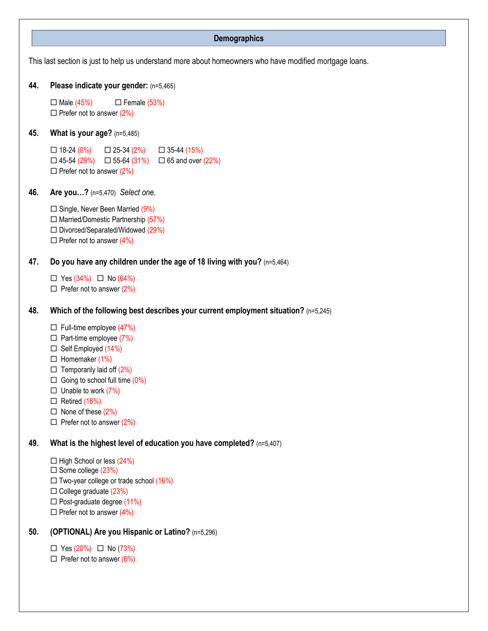## This last section is just to help us understand more about homeowners who have modified mortgage loans. **44. Please indicate your gender:** (n=5,465)  $\Box$  Male (45%)  $\Box$  Female (53%)  $\Box$  Prefer not to answer (2%) **45. What is your age?** (n=5,485)  $\Box$  18-24 (0%)  $\Box$  25-34 (2%)  $\Box$  35-44 (15%)  $\Box$  45-54 (29%)  $\Box$  55-64 (31%)  $\Box$  65 and over (22%)  $\Box$  Prefer not to answer (2%) **46. Are you…?** (n=5,470)*Select one.*  $\Box$  Single, Never Been Married (9%)  $\Box$  Married/Domestic Partnership (57%)  $\square$  Divorced/Separated/Widowed (29%)  $\Box$  Prefer not to answer (4%) **47. Do you have any children under the age of 18 living with you?** (n=5,464)  $\Box$  Yes (34%)  $\Box$  No (64%)  $\Box$  Prefer not to answer (2%) **48. Which of the following best describes your current employment situation?** (n=5,245)  $\Box$  Full-time employee (47%)  $\Box$  Part-time employee (7%)  $\Box$  Self Employed (14%)  $\Box$  Homemaker (1%)  $\Box$  Temporarily laid off (2%)  $\Box$  Going to school full time  $(0\%)$  $\Box$  Unable to work (7%)  $\Box$  Retired (18%)  $\Box$  None of these (2%)  $\Box$  Prefer not to answer (2%) **49. What is the highest level of education you have completed?** (n=5,407)  $\Box$  High School or less (24%)  $\square$  Some college (23%)  $\Box$  Two-year college or trade school (16%)  $\Box$  College graduate (23%)  $\Box$  Post-graduate degree (11%)  $\Box$  Prefer not to answer (4%) **50. (OPTIONAL) Are you Hispanic or Latino?** (n=5,296) **Demographics**

 $\Box$  Yes (20%)  $\Box$  No (73%)

 $\Box$  Prefer not to answer (6%)